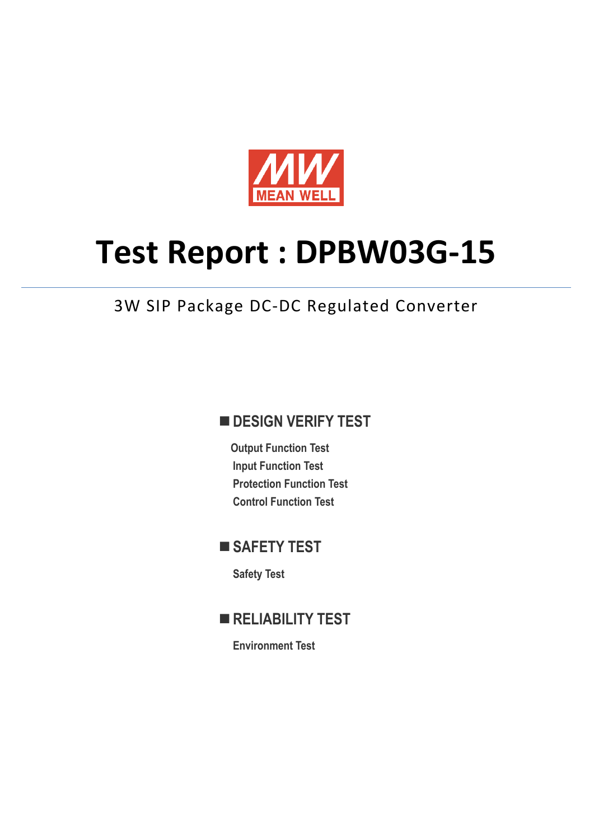

# **Test Report : DPBW03G-15**

## 3W SIP Package DC-DC Regulated Converter

## **DESIGN VERIFY TEST**

**Output Function Test Input Function Test Protection Function Test Control Function Test** 

## ■ SAFETY TEST

**Safety Test** 

**RELIABILITY TEST** 

**Environment Test**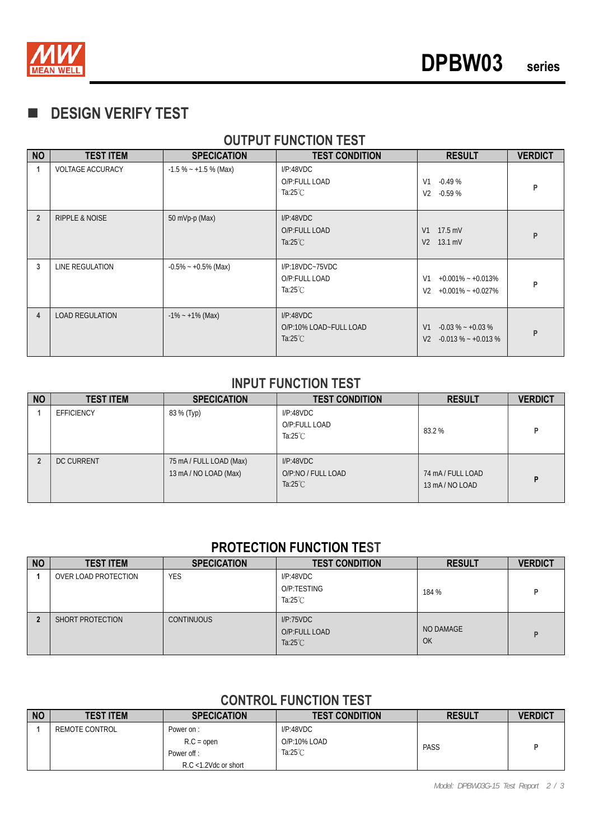

## **DESIGN VERIFY TEST**

## **OUTPUT FUNCTION TEST**

| <b>NO</b>      | <b>TEST ITEM</b>          | <b>SPECICATION</b>      | <b>TEST CONDITION</b>                                     | <b>RESULT</b>                                                                      | <b>VERDICT</b> |
|----------------|---------------------------|-------------------------|-----------------------------------------------------------|------------------------------------------------------------------------------------|----------------|
| 1              | <b>VOLTAGE ACCURACY</b>   | $-1.5\% - +1.5\%$ (Max) | I/P:48VDC<br>O/P:FULL LOAD<br>Ta: $25^{\circ}$ C          | V <sub>1</sub><br>$-0.49%$<br>V <sub>2</sub><br>$-0.59%$                           | P              |
| $\overline{2}$ | <b>RIPPLE &amp; NOISE</b> | 50 mVp-p (Max)          | I/P:48VDC<br>O/P:FULL LOAD<br>Ta: $25^{\circ}$ C          | $17.5$ mV<br>V <sub>1</sub><br>$13.1 \text{ mV}$<br>V <sub>2</sub>                 | P              |
| 3              | LINE REGULATION           | $-0.5\% - +0.5\%$ (Max) | I/P:18VDC~75VDC<br>O/P:FULL LOAD<br>Ta:25 $°C$            | V <sub>1</sub><br>$+0.001\% - +0.013\%$<br>V <sub>2</sub><br>$+0.001\% - +0.027\%$ | P              |
| 4              | <b>LOAD REGULATION</b>    | $-1\% - 1\%$ (Max)      | I/P:48VDC<br>O/P:10% LOAD~FULL LOAD<br>Ta: $25^{\circ}$ C | V <sub>1</sub><br>$-0.03\% - +0.03\%$<br>V <sub>2</sub><br>$-0.013\% - +0.013\%$   | P              |

#### **INPUT FUNCTION TEST**

| <b>NO</b> | <b>TEST ITEM</b>  | <b>SPECICATION</b>                               | <b>TEST CONDITION</b>                                 | <b>RESULT</b>                    | <b>VERDICT</b> |
|-----------|-------------------|--------------------------------------------------|-------------------------------------------------------|----------------------------------|----------------|
|           | <b>EFFICIENCY</b> | 83 % (Тур)                                       | I/P:48VDC<br>O/P:FULL LOAD<br>Ta: $25^{\circ}$ C      | 83.2%                            | Þ              |
|           | <b>DC CURRENT</b> | 75 mA / FULL LOAD (Max)<br>13 mA / NO LOAD (Max) | I/P:48VDC<br>O/P:NO / FULL LOAD<br>Ta: $25^{\circ}$ C | 74 mA/FULL LOAD<br>13 mA/NO LOAD | P              |

#### **PROTECTION FUNCTION TEST**

| <b>NO</b> | <b>TEST ITEM</b>     | <b>SPECICATION</b> | <b>TEST CONDITION</b>                            | <b>RESULT</b>          | <b>VERDICT</b> |
|-----------|----------------------|--------------------|--------------------------------------------------|------------------------|----------------|
|           | OVER LOAD PROTECTION | <b>YES</b>         | I/P:48VDC<br>O/P:TESTING<br>Ta: $25^{\circ}$ C   | 184 %                  | D              |
|           | SHORT PROTECTION     | <b>CONTINUOUS</b>  | I/P:75VDC<br>O/P:FULL LOAD<br>Ta: $25^{\circ}$ C | NO DAMAGE<br><b>OK</b> | D              |

## **CONTROL FUNCTION TEST**

| <b>NO</b> | <b>TEST ITEM</b> | <b>SPECICATION</b>                      | <b>TEST CONDITION</b>                           | <b>RESULT</b> | <b>VERDICT</b> |
|-----------|------------------|-----------------------------------------|-------------------------------------------------|---------------|----------------|
|           | REMOTE CONTROL   | Power on:<br>$R.C = open$<br>Power off: | I/P:48VDC<br>O/P:10% LOAD<br>Ta: $25^{\circ}$ C | PASS          |                |
|           |                  | $R.C$ <1.2Vdc or short                  |                                                 |               |                |